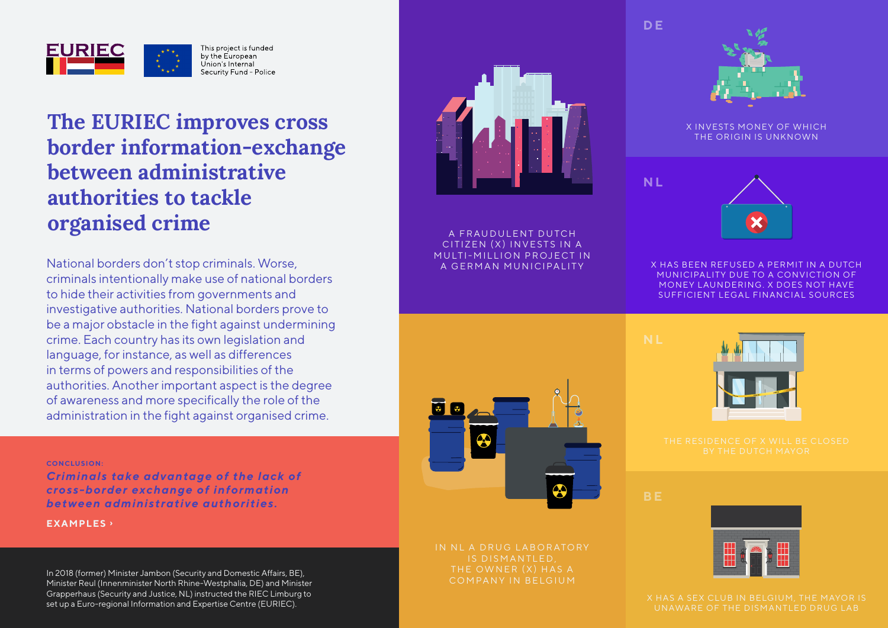

# **The EURIEC improves cross border information-exchange between administrative authorities to tackle organised crime** A FRAUDULENT DUTCH

National borders don't stop criminals. Worse, criminals intentionally make use of national borders to hide their activities from governments and investigative authorities. National borders prove to be a major obstacle in the fight against undermining crime. Each country has its own legislation and language, for instance, as well as differences in terms of powers and responsibilities of the authorities. Another important aspect is the degree of awareness and more specifically the role of the administration in the fight against organised crime.

#### **CONCLUSION:**

*Criminals take advantage of the lack of cross-border exchange of information between administrative authorities.*

**EXAMPLES ›**

In 2018 (former) Minister Jambon (Security and Domestic Affairs, BE),<br>Minister Roul (Innocminister North Phine Worthholie, DE) and Minister (COMPANY IN BELGIUM) Minister Reul (Innenminister North Rhine-Westphalia, DE) and Minister Grapperhaus (Security and Justice, NL) instructed the RIEC Limburg to set up a Euro-regional Information and Expertise Centre (EURIEC).



CITIZEN (X) INVESTS IN A MUITI-MILLION PROJECT IN A GERMAN MUNICIPALITY



IS DISMANTLED,



X INVESTS MONEY OF WHICH THE ORIGIN IS UNKNOWN

**N L**



X HAS BEEN REFUSED A PERMIT IN A DUTCH MUNICIPALITY DUE TO A CONVICTION OF MONEY LAUNDERING, X DOES NOT HAVE SUFFICIENT LEGAL FINANCIAL SOURCES





**D E**